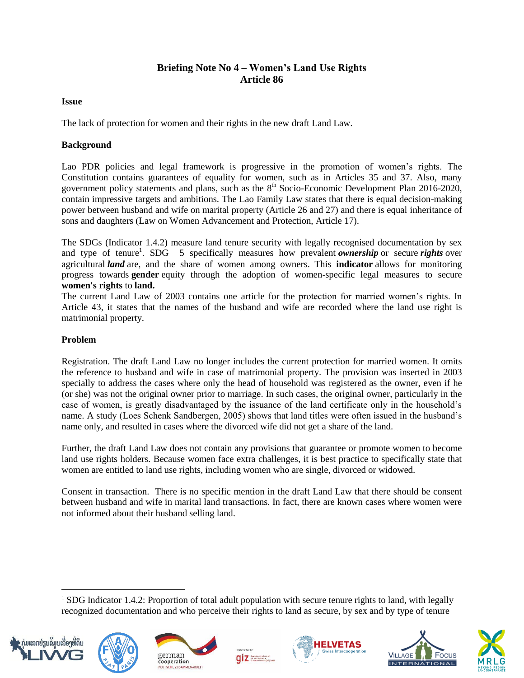# **Briefing Note No 4 – Women's Land Use Rights Article 86**

### **Issue**

The lack of protection for women and their rights in the new draft Land Law.

## **Background**

Lao PDR policies and legal framework is progressive in the promotion of women's rights. The Constitution contains guarantees of equality for women, such as in Articles 35 and 37. Also, many government policy statements and plans, such as the  $8<sup>th</sup>$  Socio-Economic Development Plan 2016-2020, contain impressive targets and ambitions. The Lao Family Law states that there is equal decision-making power between husband and wife on marital property (Article 26 and 27) and there is equal inheritance of sons and daughters (Law on Women Advancement and Protection, Article 17).

The SDGs (Indicator 1.4.2) measure land tenure security with legally recognised documentation by sex and type of tenure<sup>1</sup>. SDG 5 specifically measures how prevalent *ownership* or secure *rights* over agricultural *land* are, and the share of women among owners. This **indicator** allows for monitoring progress towards **gender** equity through the adoption of women-specific legal measures to secure **women's rights** to **land.** 

The current Land Law of 2003 contains one article for the protection for married women's rights. In Article 43, it states that the names of the husband and wife are recorded where the land use right is matrimonial property.

# **Problem**

Registration. The draft Land Law no longer includes the current protection for married women. It omits the reference to husband and wife in case of matrimonial property. The provision was inserted in 2003 specially to address the cases where only the head of household was registered as the owner, even if he (or she) was not the original owner prior to marriage. In such cases, the original owner, particularly in the case of women, is greatly disadvantaged by the issuance of the land certificate only in the household's name. A study (Loes Schenk Sandbergen, 2005) shows that land titles were often issued in the husband's name only, and resulted in cases where the divorced wife did not get a share of the land.

Further, the draft Land Law does not contain any provisions that guarantee or promote women to become land use rights holders. Because women face extra challenges, it is best practice to specifically state that women are entitled to land use rights, including women who are single, divorced or widowed.

Consent in transaction. There is no specific mention in the draft Land Law that there should be consent between husband and wife in marital land transactions. In fact, there are known cases where women were not informed about their husband selling land.

 $q\bar{z}$ 



 $\overline{a}$ 











<sup>&</sup>lt;sup>1</sup> SDG Indicator 1.4.2: Proportion of total adult population with secure tenure rights to land, with legally recognized documentation and who perceive their rights to land as secure, by sex and by type of tenure